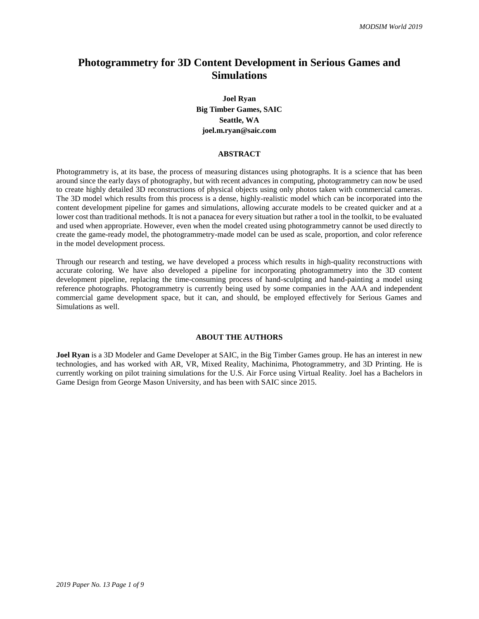# **Photogrammetry for 3D Content Development in Serious Games and Simulations**

**Joel Ryan Big Timber Games, SAIC Seattle, WA joel.m.ryan@saic.com**

#### **ABSTRACT**

Photogrammetry is, at its base, the process of measuring distances using photographs. It is a science that has been around since the early days of photography, but with recent advances in computing, photogrammetry can now be used to create highly detailed 3D reconstructions of physical objects using only photos taken with commercial cameras. The 3D model which results from this process is a dense, highly-realistic model which can be incorporated into the content development pipeline for games and simulations, allowing accurate models to be created quicker and at a lower cost than traditional methods. It is not a panacea for every situation but rather a tool in the toolkit, to be evaluated and used when appropriate. However, even when the model created using photogrammetry cannot be used directly to create the game-ready model, the photogrammetry-made model can be used as scale, proportion, and color reference in the model development process.

Through our research and testing, we have developed a process which results in high-quality reconstructions with accurate coloring. We have also developed a pipeline for incorporating photogrammetry into the 3D content development pipeline, replacing the time-consuming process of hand-sculpting and hand-painting a model using reference photographs. Photogrammetry is currently being used by some companies in the AAA and independent commercial game development space, but it can, and should, be employed effectively for Serious Games and Simulations as well.

## **ABOUT THE AUTHORS**

**Joel Ryan** is a 3D Modeler and Game Developer at SAIC, in the Big Timber Games group. He has an interest in new technologies, and has worked with AR, VR, Mixed Reality, Machinima, Photogrammetry, and 3D Printing. He is currently working on pilot training simulations for the U.S. Air Force using Virtual Reality. Joel has a Bachelors in Game Design from George Mason University, and has been with SAIC since 2015.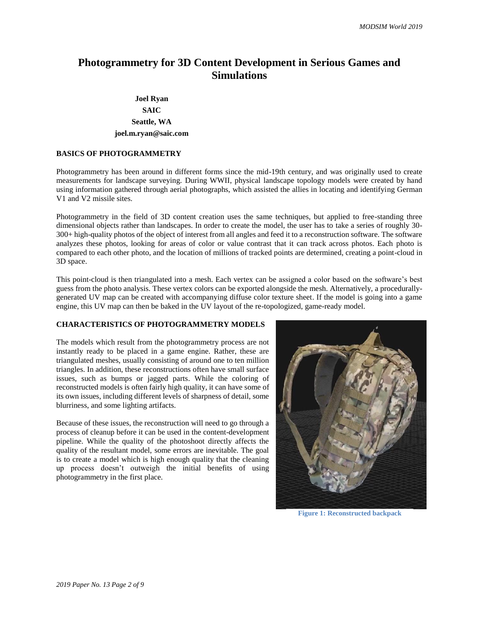# **Photogrammetry for 3D Content Development in Serious Games and Simulations**

## **Joel Ryan SAIC Seattle, WA joel.m.ryan@saic.com**

## **BASICS OF PHOTOGRAMMETRY**

Photogrammetry has been around in different forms since the mid-19th century, and was originally used to create measurements for landscape surveying. During WWII, physical landscape topology models were created by hand using information gathered through aerial photographs, which assisted the allies in locating and identifying German V1 and V2 missile sites.

Photogrammetry in the field of 3D content creation uses the same techniques, but applied to free-standing three dimensional objects rather than landscapes. In order to create the model, the user has to take a series of roughly 30- 300+ high-quality photos of the object of interest from all angles and feed it to a reconstruction software. The software analyzes these photos, looking for areas of color or value contrast that it can track across photos. Each photo is compared to each other photo, and the location of millions of tracked points are determined, creating a point-cloud in 3D space.

This point-cloud is then triangulated into a mesh. Each vertex can be assigned a color based on the software's best guess from the photo analysis. These vertex colors can be exported alongside the mesh. Alternatively, a procedurallygenerated UV map can be created with accompanying diffuse color texture sheet. If the model is going into a game engine, this UV map can then be baked in the UV layout of the re-topologized, game-ready model.

## **CHARACTERISTICS OF PHOTOGRAMMETRY MODELS**

The models which result from the photogrammetry process are not instantly ready to be placed in a game engine. Rather, these are triangulated meshes, usually consisting of around one to ten million triangles. In addition, these reconstructions often have small surface issues, such as bumps or jagged parts. While the coloring of reconstructed models is often fairly high quality, it can have some of its own issues, including different levels of sharpness of detail, some blurriness, and some lighting artifacts.

Because of these issues, the reconstruction will need to go through a process of cleanup before it can be used in the content-development pipeline. While the quality of the photoshoot directly affects the quality of the resultant model, some errors are inevitable. The goal is to create a model which is high enough quality that the cleaning up process doesn't outweigh the initial benefits of using photogrammetry in the first place.



**Figure 1: Reconstructed backpack**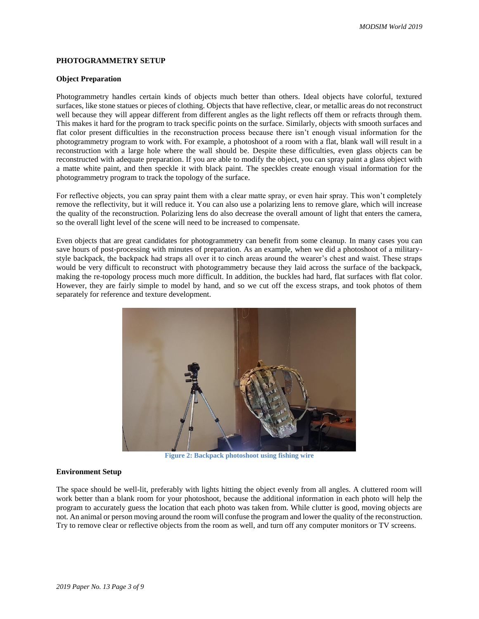## **PHOTOGRAMMETRY SETUP**

#### **Object Preparation**

Photogrammetry handles certain kinds of objects much better than others. Ideal objects have colorful, textured surfaces, like stone statues or pieces of clothing. Objects that have reflective, clear, or metallic areas do not reconstruct well because they will appear different from different angles as the light reflects off them or refracts through them. This makes it hard for the program to track specific points on the surface. Similarly, objects with smooth surfaces and flat color present difficulties in the reconstruction process because there isn't enough visual information for the photogrammetry program to work with. For example, a photoshoot of a room with a flat, blank wall will result in a reconstruction with a large hole where the wall should be. Despite these difficulties, even glass objects can be reconstructed with adequate preparation. If you are able to modify the object, you can spray paint a glass object with a matte white paint, and then speckle it with black paint. The speckles create enough visual information for the photogrammetry program to track the topology of the surface.

For reflective objects, you can spray paint them with a clear matte spray, or even hair spray. This won't completely remove the reflectivity, but it will reduce it. You can also use a polarizing lens to remove glare, which will increase the quality of the reconstruction. Polarizing lens do also decrease the overall amount of light that enters the camera, so the overall light level of the scene will need to be increased to compensate.

Even objects that are great candidates for photogrammetry can benefit from some cleanup. In many cases you can save hours of post-processing with minutes of preparation. As an example, when we did a photoshoot of a militarystyle backpack, the backpack had straps all over it to cinch areas around the wearer's chest and waist. These straps would be very difficult to reconstruct with photogrammetry because they laid across the surface of the backpack, making the re-topology process much more difficult. In addition, the buckles had hard, flat surfaces with flat color. However, they are fairly simple to model by hand, and so we cut off the excess straps, and took photos of them separately for reference and texture development.



**Figure 2: Backpack photoshoot using fishing wire**

#### **Environment Setup**

The space should be well-lit, preferably with lights hitting the object evenly from all angles. A cluttered room will work better than a blank room for your photoshoot, because the additional information in each photo will help the program to accurately guess the location that each photo was taken from. While clutter is good, moving objects are not. An animal or person moving around the room will confuse the program and lower the quality of the reconstruction. Try to remove clear or reflective objects from the room as well, and turn off any computer monitors or TV screens.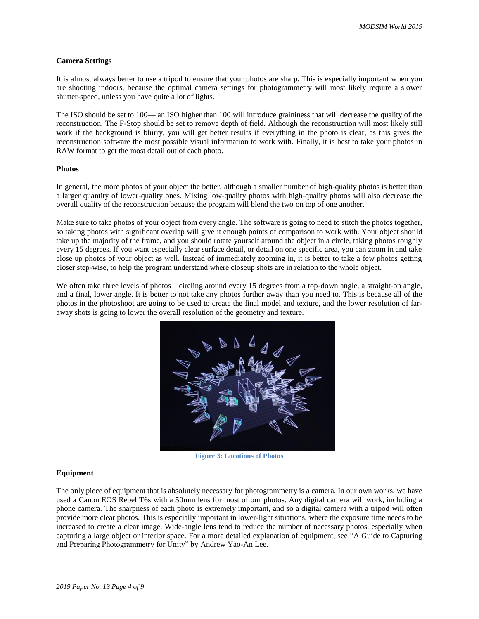#### **Camera Settings**

It is almost always better to use a tripod to ensure that your photos are sharp. This is especially important when you are shooting indoors, because the optimal camera settings for photogrammetry will most likely require a slower shutter-speed, unless you have quite a lot of lights.

The ISO should be set to 100— an ISO higher than 100 will introduce graininess that will decrease the quality of the reconstruction. The F-Stop should be set to remove depth of field. Although the reconstruction will most likely still work if the background is blurry, you will get better results if everything in the photo is clear, as this gives the reconstruction software the most possible visual information to work with. Finally, it is best to take your photos in RAW format to get the most detail out of each photo.

#### **Photos**

In general, the more photos of your object the better, although a smaller number of high-quality photos is better than a larger quantity of lower-quality ones. Mixing low-quality photos with high-quality photos will also decrease the overall quality of the reconstruction because the program will blend the two on top of one another.

Make sure to take photos of your object from every angle. The software is going to need to stitch the photos together, so taking photos with significant overlap will give it enough points of comparison to work with. Your object should take up the majority of the frame, and you should rotate yourself around the object in a circle, taking photos roughly every 15 degrees. If you want especially clear surface detail, or detail on one specific area, you can zoom in and take close up photos of your object as well. Instead of immediately zooming in, it is better to take a few photos getting closer step-wise, to help the program understand where closeup shots are in relation to the whole object.

We often take three levels of photos—circling around every 15 degrees from a top-down angle, a straight-on angle, and a final, lower angle. It is better to not take any photos further away than you need to. This is because all of the photos in the photoshoot are going to be used to create the final model and texture, and the lower resolution of faraway shots is going to lower the overall resolution of the geometry and texture.



**Figure 3: Locations of Photos**

#### **Equipment**

The only piece of equipment that is absolutely necessary for photogrammetry is a camera. In our own works, we have used a Canon EOS Rebel T6s with a 50mm lens for most of our photos. Any digital camera will work, including a phone camera. The sharpness of each photo is extremely important, and so a digital camera with a tripod will often provide more clear photos. This is especially important in lower-light situations, where the exposure time needs to be increased to create a clear image. Wide-angle lens tend to reduce the number of necessary photos, especially when capturing a large object or interior space. For a more detailed explanation of equipment, see "A Guide to Capturing and Preparing Photogrammetry for Unity" by Andrew Yao-An Lee.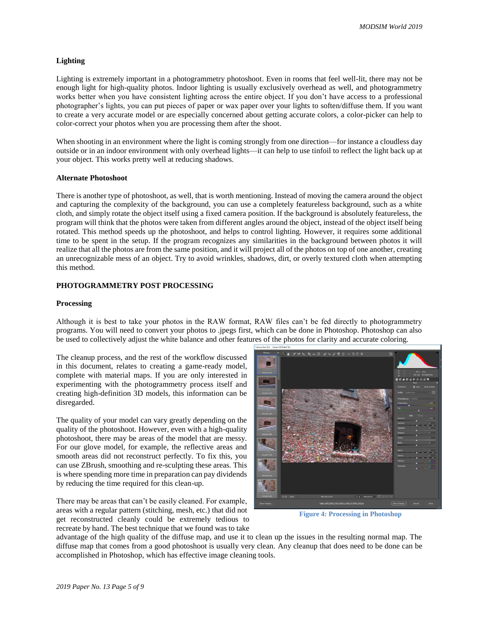## **Lighting**

Lighting is extremely important in a photogrammetry photoshoot. Even in rooms that feel well-lit, there may not be enough light for high-quality photos. Indoor lighting is usually exclusively overhead as well, and photogrammetry works better when you have consistent lighting across the entire object. If you don't have access to a professional photographer's lights, you can put pieces of paper or wax paper over your lights to soften/diffuse them. If you want to create a very accurate model or are especially concerned about getting accurate colors, a color-picker can help to color-correct your photos when you are processing them after the shoot.

When shooting in an environment where the light is coming strongly from one direction—for instance a cloudless day outside or in an indoor environment with only overhead lights—it can help to use tinfoil to reflect the light back up at your object. This works pretty well at reducing shadows.

#### **Alternate Photoshoot**

There is another type of photoshoot, as well, that is worth mentioning. Instead of moving the camera around the object and capturing the complexity of the background, you can use a completely featureless background, such as a white cloth, and simply rotate the object itself using a fixed camera position. If the background is absolutely featureless, the program will think that the photos were taken from different angles around the object, instead of the object itself being rotated. This method speeds up the photoshoot, and helps to control lighting. However, it requires some additional time to be spent in the setup. If the program recognizes any similarities in the background between photos it will realize that all the photos are from the same position, and it will project all of the photos on top of one another, creating an unrecognizable mess of an object. Try to avoid wrinkles, shadows, dirt, or overly textured cloth when attempting this method.

#### **PHOTOGRAMMETRY POST PROCESSING**

#### **Processing**

Although it is best to take your photos in the RAW format, RAW files can't be fed directly to photogrammetry programs. You will need to convert your photos to .jpegs first, which can be done in Photoshop. Photoshop can also be used to collectively adjust the white balance and other features of the photos for clarity and accurate coloring.

The cleanup process, and the rest of the workflow discussed in this document, relates to creating a game-ready model, complete with material maps. If you are only interested in experimenting with the photogrammetry process itself and creating high-definition 3D models, this information can be disregarded.

The quality of your model can vary greatly depending on the quality of the photoshoot. However, even with a high-quality photoshoot, there may be areas of the model that are messy. For our glove model, for example, the reflective areas and smooth areas did not reconstruct perfectly. To fix this, you can use ZBrush, smoothing and re-sculpting these areas. This is where spending more time in preparation can pay dividends by reducing the time required for this clean-up.

There may be areas that can't be easily cleaned. For example, areas with a regular pattern (stitching, mesh, etc.) that did not get reconstructed cleanly could be extremely tedious to recreate by hand. The best technique that we found was to take



**Figure 4: Processing in Photoshop**

advantage of the high quality of the diffuse map, and use it to clean up the issues in the resulting normal map. The diffuse map that comes from a good photoshoot is usually very clean. Any cleanup that does need to be done can be accomplished in Photoshop, which has effective image cleaning tools.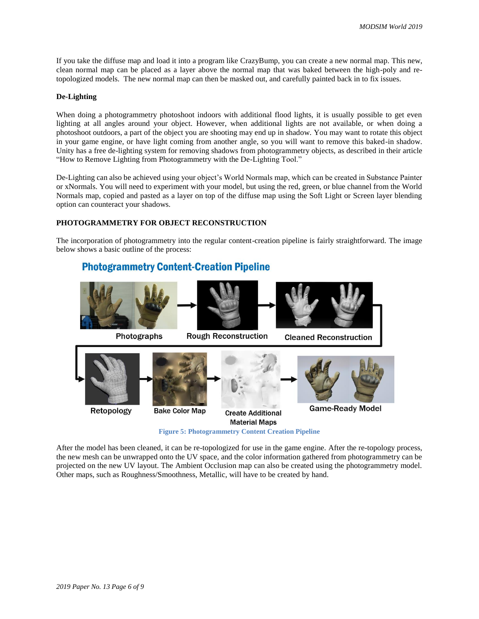If you take the diffuse map and load it into a program like CrazyBump, you can create a new normal map. This new, clean normal map can be placed as a layer above the normal map that was baked between the high-poly and retopologized models. The new normal map can then be masked out, and carefully painted back in to fix issues.

#### **De-Lighting**

When doing a photogrammetry photoshoot indoors with additional flood lights, it is usually possible to get even lighting at all angles around your object. However, when additional lights are not available, or when doing a photoshoot outdoors, a part of the object you are shooting may end up in shadow. You may want to rotate this object in your game engine, or have light coming from another angle, so you will want to remove this baked-in shadow. Unity has a free de-lighting system for removing shadows from photogrammetry objects, as described in their article "How to Remove Lighting from Photogrammetry with the De-Lighting Tool."

De-Lighting can also be achieved using your object's World Normals map, which can be created in Substance Painter or xNormals. You will need to experiment with your model, but using the red, green, or blue channel from the World Normals map, copied and pasted as a layer on top of the diffuse map using the Soft Light or Screen layer blending option can counteract your shadows.

#### **PHOTOGRAMMETRY FOR OBJECT RECONSTRUCTION**

The incorporation of photogrammetry into the regular content-creation pipeline is fairly straightforward. The image below shows a basic outline of the process:

## **Photogrammetry Content-Creation Pipeline**



**Figure 5: Photogrammetry Content Creation Pipeline**

After the model has been cleaned, it can be re-topologized for use in the game engine. After the re-topology process, the new mesh can be unwrapped onto the UV space, and the color information gathered from photogrammetry can be projected on the new UV layout. The Ambient Occlusion map can also be created using the photogrammetry model. Other maps, such as Roughness/Smoothness, Metallic, will have to be created by hand.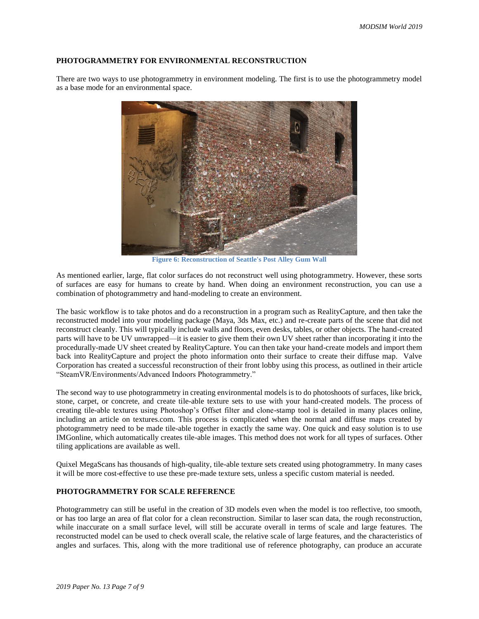## **PHOTOGRAMMETRY FOR ENVIRONMENTAL RECONSTRUCTION**

There are two ways to use photogrammetry in environment modeling. The first is to use the photogrammetry model as a base mode for an environmental space.



**Figure 6: Reconstruction of Seattle's Post Alley Gum Wall**

As mentioned earlier, large, flat color surfaces do not reconstruct well using photogrammetry. However, these sorts of surfaces are easy for humans to create by hand. When doing an environment reconstruction, you can use a combination of photogrammetry and hand-modeling to create an environment.

The basic workflow is to take photos and do a reconstruction in a program such as RealityCapture, and then take the reconstructed model into your modeling package (Maya, 3ds Max, etc.) and re-create parts of the scene that did not reconstruct cleanly. This will typically include walls and floors, even desks, tables, or other objects. The hand-created parts will have to be UV unwrapped—it is easier to give them their own UV sheet rather than incorporating it into the procedurally-made UV sheet created by RealityCapture. You can then take your hand-create models and import them back into RealityCapture and project the photo information onto their surface to create their diffuse map. Valve Corporation has created a successful reconstruction of their front lobby using this process, as outlined in their article "SteamVR/Environments/Advanced Indoors Photogrammetry."

The second way to use photogrammetry in creating environmental models is to do photoshoots of surfaces, like brick, stone, carpet, or concrete, and create tile-able texture sets to use with your hand-created models. The process of creating tile-able textures using Photoshop's Offset filter and clone-stamp tool is detailed in many places online, including an article on textures.com. This process is complicated when the normal and diffuse maps created by photogrammetry need to be made tile-able together in exactly the same way. One quick and easy solution is to use IMGonline, which automatically creates tile-able images. This method does not work for all types of surfaces. Other tiling applications are available as well.

Quixel MegaScans has thousands of high-quality, tile-able texture sets created using photogrammetry. In many cases it will be more cost-effective to use these pre-made texture sets, unless a specific custom material is needed.

## **PHOTOGRAMMETRY FOR SCALE REFERENCE**

Photogrammetry can still be useful in the creation of 3D models even when the model is too reflective, too smooth, or has too large an area of flat color for a clean reconstruction. Similar to laser scan data, the rough reconstruction, while inaccurate on a small surface level, will still be accurate overall in terms of scale and large features. The reconstructed model can be used to check overall scale, the relative scale of large features, and the characteristics of angles and surfaces. This, along with the more traditional use of reference photography, can produce an accurate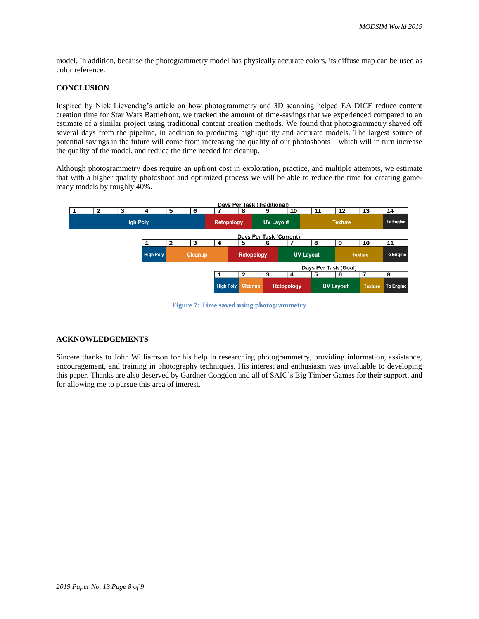model. In addition, because the photogrammetry model has physically accurate colors, its diffuse map can be used as color reference.

## **CONCLUSION**

Inspired by Nick Lievendag's article on how photogrammetry and 3D scanning helped EA DICE reduce content creation time for Star Wars Battlefront, we tracked the amount of time-savings that we experienced compared to an estimate of a similar project using traditional content creation methods. We found that photogrammetry shaved off several days from the pipeline, in addition to producing high-quality and accurate models. The largest source of potential savings in the future will come from increasing the quality of our photoshoots—which will in turn increase the quality of the model, and reduce the time needed for cleanup.

Although photogrammetry does require an upfront cost in exploration, practice, and multiple attempts, we estimate that with a higher quality photoshoot and optimized process we will be able to reduce the time for creating gameready models by roughly 40%.



**Figure 7: Time saved using photogrammetry**

## **ACKNOWLEDGEMENTS**

Sincere thanks to John Williamson for his help in researching photogrammetry, providing information, assistance, encouragement, and training in photography techniques. His interest and enthusiasm was invaluable to developing this paper. Thanks are also deserved by Gardner Congdon and all of SAIC's Big Timber Games for their support, and for allowing me to pursue this area of interest.